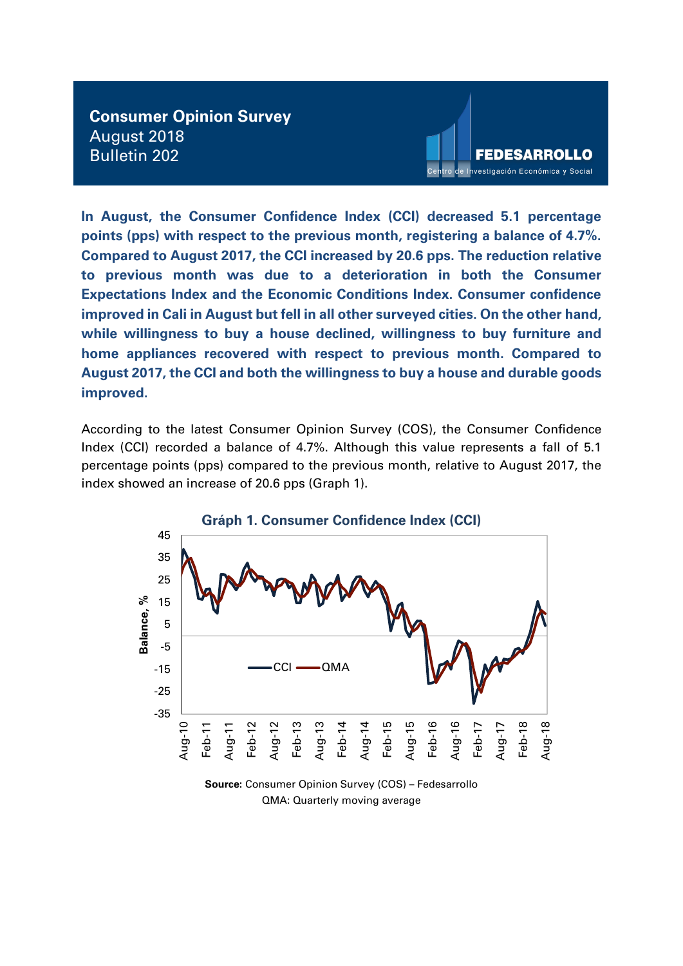**Consumer Opinion Survey** August 2018 Bulletin 202



**In August, the Consumer Confidence Index (CCI) decreased 5.1 percentage points (pps) with respect to the previous month, registering a balance of 4.7%. Compared to August 2017, the CCI increased by 20.6 pps. The reduction relative to previous month was due to a deterioration in both the Consumer Expectations Index and the Economic Conditions Index. Consumer confidence improved in Cali in August but fell in all other surveyed cities. On the other hand, while willingness to buy a house declined, willingness to buy furniture and home appliances recovered with respect to previous month. Compared to August 2017, the CCI and both the willingness to buy a house and durable goods improved.**

According to the latest Consumer Opinion Survey (COS), the Consumer Confidence Index (CCI) recorded a balance of 4.7%. Although this value represents a fall of 5.1 percentage points (pps) compared to the previous month, relative to August 2017, the index showed an increase of 20.6 pps (Graph 1).



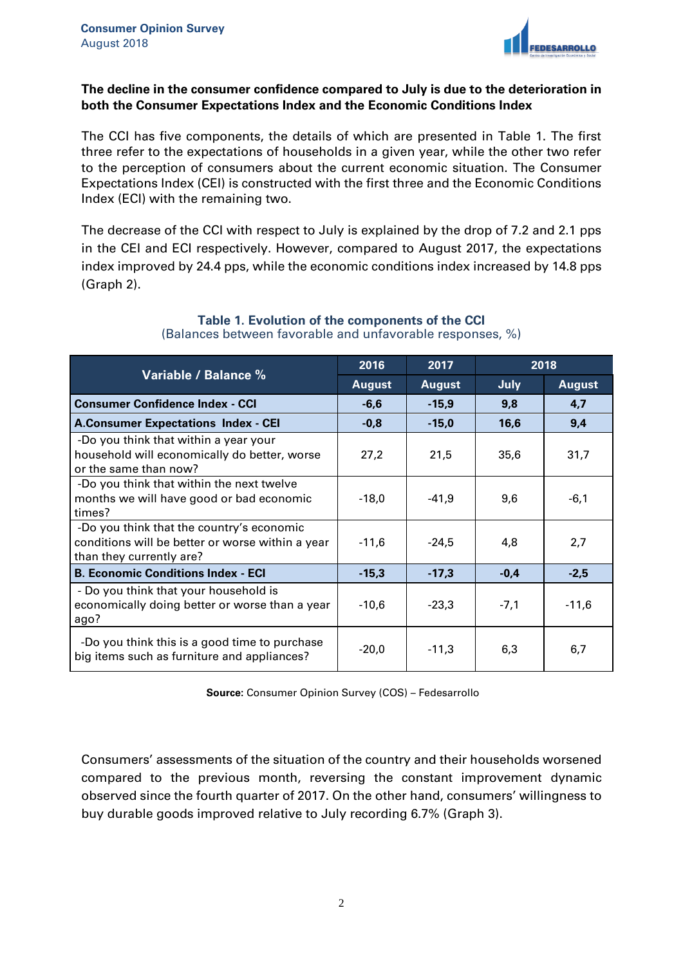

#### **The decline in the consumer confidence compared to July is due to the deterioration in both the Consumer Expectations Index and the Economic Conditions Index**

The CCI has five components, the details of which are presented in Table 1. The first three refer to the expectations of households in a given year, while the other two refer to the perception of consumers about the current economic situation. The Consumer Expectations Index (CEI) is constructed with the first three and the Economic Conditions Index (ECI) with the remaining two.

The decrease of the CCI with respect to July is explained by the drop of 7.2 and 2.1 pps in the CEI and ECI respectively. However, compared to August 2017, the expectations index improved by 24.4 pps, while the economic conditions index increased by 14.8 pps (Graph 2).

| Variable / Balance %                                                                                                      | 2016          | 2018<br>2017  |        |               |
|---------------------------------------------------------------------------------------------------------------------------|---------------|---------------|--------|---------------|
|                                                                                                                           | <b>August</b> | <b>August</b> | July   | <b>August</b> |
| <b>Consumer Confidence Index - CCI</b>                                                                                    | $-6,6$        | $-15,9$       | 9,8    | 4,7           |
| <b>A.Consumer Expectations Index - CEI</b>                                                                                | $-0,8$        | $-15,0$       | 16,6   | 9,4           |
| -Do you think that within a year your<br>household will economically do better, worse<br>or the same than now?            | 27,2          | 21,5          | 35,6   | 31,7          |
| -Do you think that within the next twelve<br>months we will have good or bad economic<br>times?                           | $-18,0$       | $-41,9$       | 9,6    | $-6,1$        |
| -Do you think that the country's economic<br>conditions will be better or worse within a year<br>than they currently are? | $-11,6$       | $-24,5$       | 4,8    | 2,7           |
| <b>B. Economic Conditions Index - ECI</b>                                                                                 | $-15,3$       | $-17,3$       | $-0,4$ | $-2,5$        |
| - Do you think that your household is<br>economically doing better or worse than a year<br>ago?                           | $-10,6$       | $-23,3$       | $-7,1$ | $-11,6$       |
| -Do you think this is a good time to purchase<br>big items such as furniture and appliances?                              | $-20,0$       | $-11,3$       | 6,3    | 6,7           |

#### **Table 1. Evolution of the components of the CCI** (Balances between favorable and unfavorable responses, %)

**Source:** Consumer Opinion Survey (COS) – Fedesarrollo

Consumers' assessments of the situation of the country and their households worsened compared to the previous month, reversing the constant improvement dynamic observed since the fourth quarter of 2017. On the other hand, consumers' willingness to buy durable goods improved relative to July recording 6.7% (Graph 3).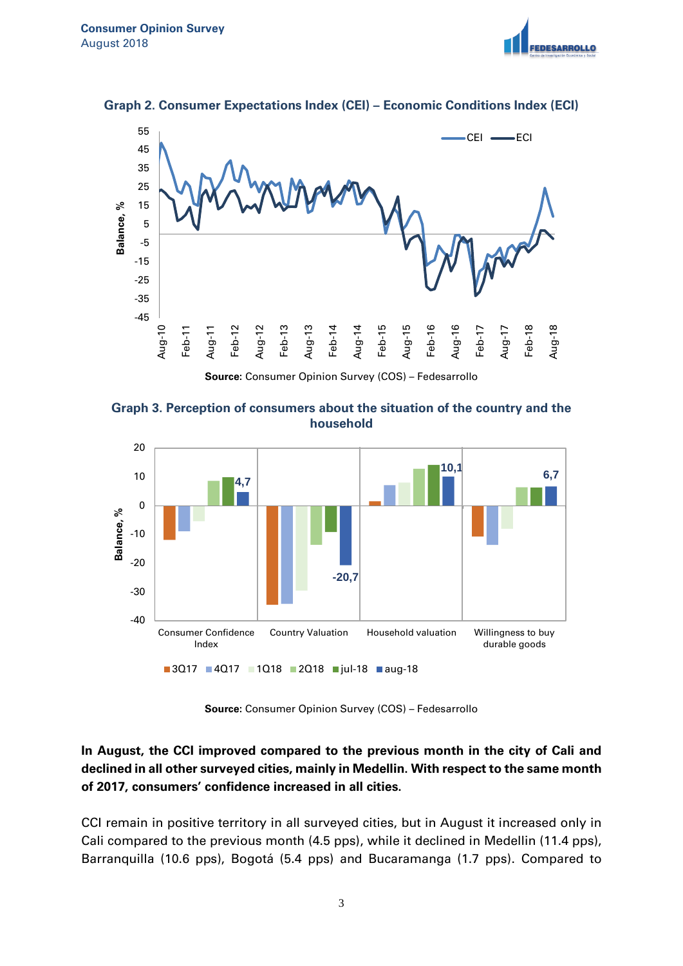





**Graph 3. Perception of consumers about the situation of the country and the household**



**Source:** Consumer Opinion Survey (COS) – Fedesarrollo

### **In August, the CCI improved compared to the previous month in the city of Cali and declined in all other surveyed cities, mainly in Medellin. With respect to the same month of 2017, consumers' confidence increased in all cities.**

CCI remain in positive territory in all surveyed cities, but in August it increased only in Cali compared to the previous month (4.5 pps), while it declined in Medellin (11.4 pps), Barranquilla (10.6 pps), Bogotá (5.4 pps) and Bucaramanga (1.7 pps). Compared to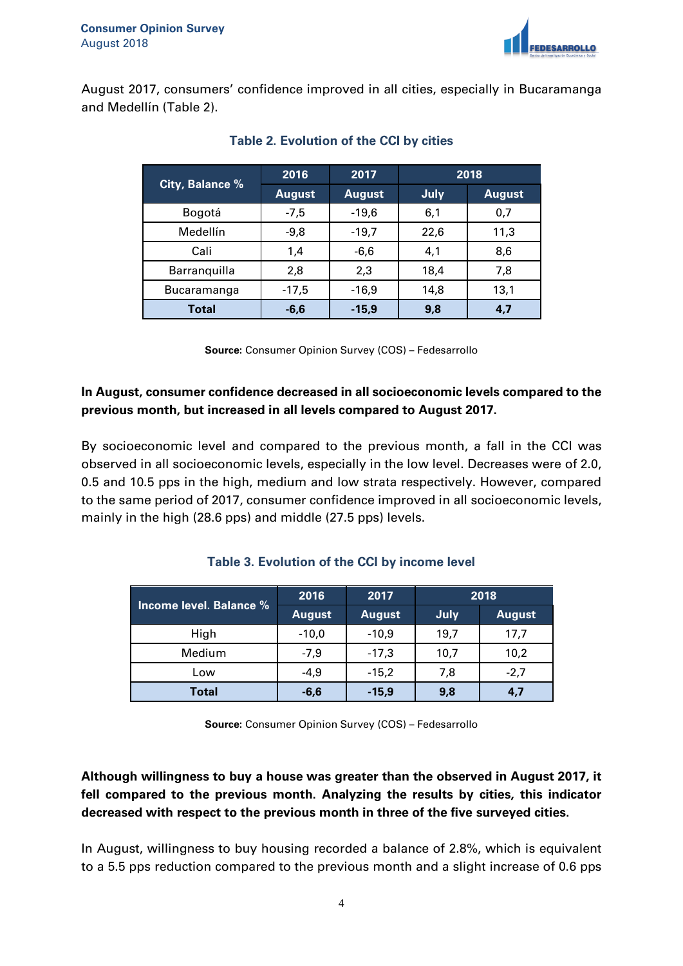

August 2017, consumers' confidence improved in all cities, especially in Bucaramanga and Medellín (Table 2).

|                 | 2016          | 2017          | 2018 |               |
|-----------------|---------------|---------------|------|---------------|
| City, Balance % | <b>August</b> | <b>August</b> | July | <b>August</b> |
| Bogotá          | $-7,5$        | $-19,6$       | 6,1  | 0,7           |
| Medellín        | $-9,8$        | $-19,7$       | 22,6 | 11,3          |
| Cali            | 1,4           | $-6,6$        | 4,1  | 8,6           |
| Barranquilla    | 2,8           | 2,3           | 18,4 | 7,8           |
| Bucaramanga     | $-17,5$       | $-16,9$       | 14,8 | 13,1          |
| <b>Total</b>    | $-6,6$        | $-15.9$       | 9,8  | 4.7           |

### **Table 2. Evolution of the CCI by cities**

**Source:** Consumer Opinion Survey (COS) – Fedesarrollo

### **In August, consumer confidence decreased in all socioeconomic levels compared to the previous month, but increased in all levels compared to August 2017.**

By socioeconomic level and compared to the previous month, a fall in the CCI was observed in all socioeconomic levels, especially in the low level. Decreases were of 2.0, 0.5 and 10.5 pps in the high, medium and low strata respectively. However, compared to the same period of 2017, consumer confidence improved in all socioeconomic levels, mainly in the high (28.6 pps) and middle (27.5 pps) levels.

|                         | 2016          | 2017          | 2018 |               |
|-------------------------|---------------|---------------|------|---------------|
| Income level. Balance % | <b>August</b> | <b>August</b> | July | <b>August</b> |
| High                    | $-10,0$       | $-10,9$       | 19.7 | 17,7          |
| Medium                  | $-7,9$        | $-17,3$       | 10,7 | 10,2          |
| Low                     | $-4,9$        | $-15,2$       | 7,8  | $-2,7$        |
| <b>Total</b>            | $-6,6$        | $-15,9$       | 9,8  | 4,7           |

# **Table 3. Evolution of the CCI by income level**

**Source:** Consumer Opinion Survey (COS) – Fedesarrollo

# **Although willingness to buy a house was greater than the observed in August 2017, it fell compared to the previous month. Analyzing the results by cities, this indicator decreased with respect to the previous month in three of the five surveyed cities.**

In August, willingness to buy housing recorded a balance of 2.8%, which is equivalent to a 5.5 pps reduction compared to the previous month and a slight increase of 0.6 pps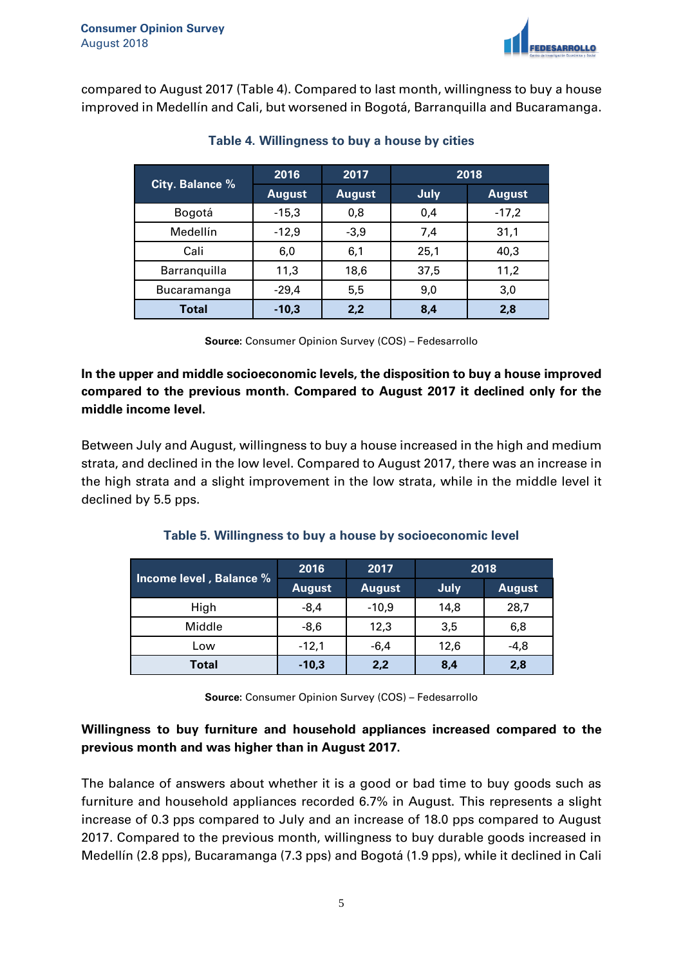

compared to August 2017 (Table 4). Compared to last month, willingness to buy a house improved in Medellín and Cali, but worsened in Bogotá, Barranquilla and Bucaramanga.

|                 | 2016          | 2017          | 2018 |               |
|-----------------|---------------|---------------|------|---------------|
| City. Balance % | <b>August</b> | <b>August</b> | July | <b>August</b> |
| Bogotá          | $-15,3$       | 0,8           | 0,4  | $-17,2$       |
| Medellín        | $-12,9$       | $-3,9$        | 7,4  | 31,1          |
| Cali            | 6,0           | 6,1           | 25,1 | 40,3          |
| Barranquilla    | 11,3          | 18,6          | 37,5 | 11,2          |
| Bucaramanga     | $-29,4$       | 5,5           | 9,0  | 3,0           |
| Total           | $-10,3$       | 2,2           | 8,4  | 2,8           |

#### **Table 4. Willingness to buy a house by cities**

**Source:** Consumer Opinion Survey (COS) – Fedesarrollo

**In the upper and middle socioeconomic levels, the disposition to buy a house improved compared to the previous month. Compared to August 2017 it declined only for the middle income level.** 

Between July and August, willingness to buy a house increased in the high and medium strata, and declined in the low level. Compared to August 2017, there was an increase in the high strata and a slight improvement in the low strata, while in the middle level it declined by 5.5 pps.

# **Table 5. Willingness to buy a house by socioeconomic level**

| Income level, Balance % | 2016          | 2017          | 2018 |               |
|-------------------------|---------------|---------------|------|---------------|
|                         | <b>August</b> | <b>August</b> | July | <b>August</b> |
| High                    | $-8,4$        | $-10,9$       | 14,8 | 28,7          |
| Middle                  | $-8,6$        | 12,3          | 3,5  | 6,8           |
| Low                     | $-12,1$       | $-6,4$        | 12,6 | $-4,8$        |
| Total                   | $-10,3$       | 2,2           | 8,4  | 2,8           |

**Source:** Consumer Opinion Survey (COS) – Fedesarrollo

# **Willingness to buy furniture and household appliances increased compared to the previous month and was higher than in August 2017.**

The balance of answers about whether it is a good or bad time to buy goods such as furniture and household appliances recorded 6.7% in August. This represents a slight increase of 0.3 pps compared to July and an increase of 18.0 pps compared to August 2017. Compared to the previous month, willingness to buy durable goods increased in Medellín (2.8 pps), Bucaramanga (7.3 pps) and Bogotá (1.9 pps), while it declined in Cali